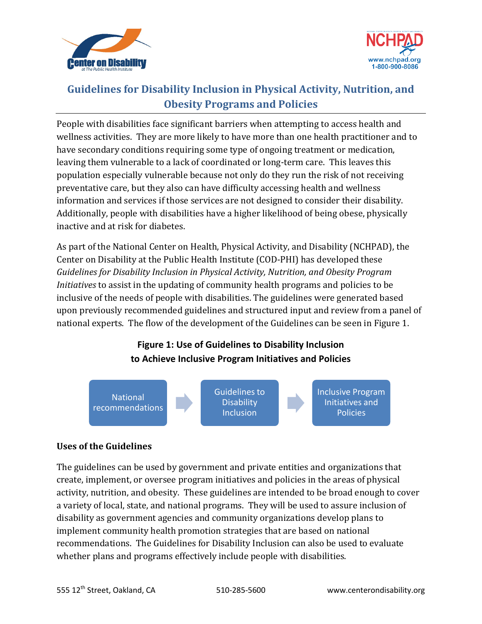



## **Guidelines for Disability Inclusion in Physical Activity, Nutrition, and Obesity Programs and Policies**

People with disabilities face significant barriers when attempting to access health and wellness activities. They are more likely to have more than one health practitioner and to have secondary conditions requiring some type of ongoing treatment or medication, leaving them vulnerable to a lack of coordinated or long-term care. This leaves this population especially vulnerable because not only do they run the risk of not receiving preventative care, but they also can have difficulty accessing health and wellness information and services if those services are not designed to consider their disability. Additionally, people with disabilities have a higher likelihood of being obese, physically inactive and at risk for diabetes.

As part of the National Center on Health, Physical Activity, and Disability (NCHPAD), the Center on Disability at the Public Health Institute (COD-PHI) has developed these *Guidelines for Disability Inclusion in Physical Activity, Nutrition, and Obesity Program Initiatives* to assist in the updating of community health programs and policies to be inclusive of the needs of people with disabilities. The guidelines were generated based upon previously recommended guidelines and structured input and review from a panel of national experts. The flow of the development of the Guidelines can be seen in Figure 1.

## **Figure 1: Use of Guidelines to Disability Inclusion to Achieve Inclusive Program Initiatives and Policies**



## **Uses of the Guidelines**

The guidelines can be used by government and private entities and organizations that create, implement, or oversee program initiatives and policies in the areas of physical activity, nutrition, and obesity. These guidelines are intended to be broad enough to cover a variety of local, state, and national programs. They will be used to assure inclusion of disability as government agencies and community organizations develop plans to implement community health promotion strategies that are based on national recommendations. The Guidelines for Disability Inclusion can also be used to evaluate whether plans and programs effectively include people with disabilities.